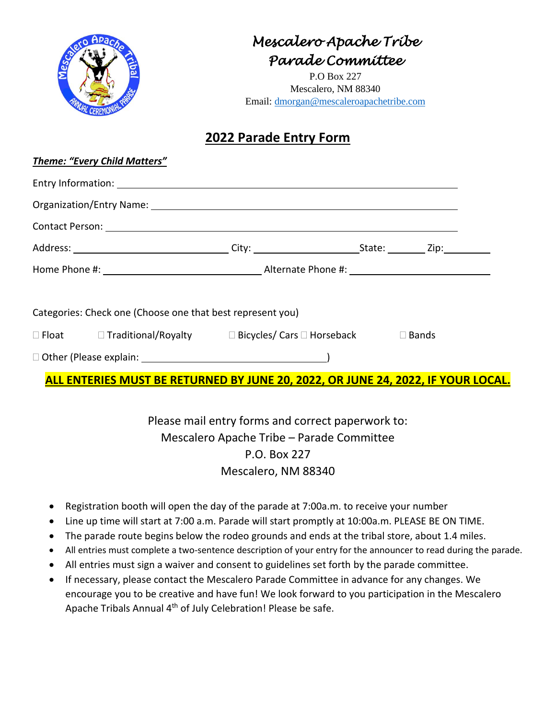|                                                                                                                | Mescalero Apache Tríbe<br>Parade Committee<br>P.O Box 227<br>Mescalero, NM 88340<br>Email: dmorgan@mescaleroapachetribe.com |  |  |
|----------------------------------------------------------------------------------------------------------------|-----------------------------------------------------------------------------------------------------------------------------|--|--|
|                                                                                                                | 2022 Parade Entry Form                                                                                                      |  |  |
| <b>Theme: "Every Child Matters"</b>                                                                            |                                                                                                                             |  |  |
|                                                                                                                |                                                                                                                             |  |  |
|                                                                                                                |                                                                                                                             |  |  |
| Contact Person: National Accounts of the Contact Person in the Contact Person in the Contact Person:           |                                                                                                                             |  |  |
|                                                                                                                |                                                                                                                             |  |  |
|                                                                                                                |                                                                                                                             |  |  |
| Categories: Check one (Choose one that best represent you)                                                     |                                                                                                                             |  |  |
| □ Float Contraditional/Royalty Contrastion Discribution Discription Discription Discription Discription Discri |                                                                                                                             |  |  |
|                                                                                                                |                                                                                                                             |  |  |
| ALL ENTERIES MUST BE RETURNED BY JUNE 20, 2022, OR JUNE 24, 2022, IF YOUR LOCAL.                               |                                                                                                                             |  |  |

Please mail entry forms and correct paperwork to: Mescalero Apache Tribe – Parade Committee P.O. Box 227 Mescalero, NM 88340

- Registration booth will open the day of the parade at 7:00a.m. to receive your number
- Line up time will start at 7:00 a.m. Parade will start promptly at 10:00a.m. PLEASE BE ON TIME.
- The parade route begins below the rodeo grounds and ends at the tribal store, about 1.4 miles.
- All entries must complete a two-sentence description of your entry for the announcer to read during the parade.
- All entries must sign a waiver and consent to guidelines set forth by the parade committee.
- If necessary, please contact the Mescalero Parade Committee in advance for any changes. We encourage you to be creative and have fun! We look forward to you participation in the Mescalero Apache Tribals Annual 4th of July Celebration! Please be safe.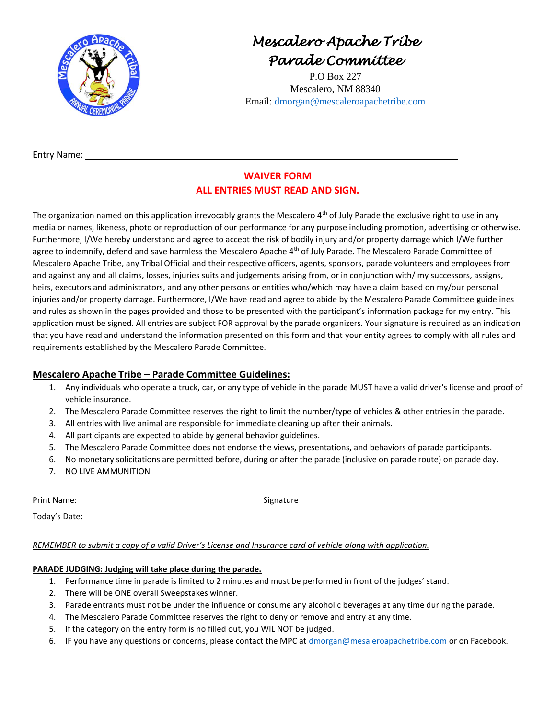

*Mescalero Apache Tribe Parade Committee* 

P.O Box 227 Mescalero, NM 88340 Email: [dmorgan@mescaleroapachetribe.com](mailto:dmorgan@mescaleroapachetribe.com)

Entry Name:

### **WAIVER FORM ALL ENTRIES MUST READ AND SIGN.**

The organization named on this application irrevocably grants the Mescalero 4<sup>th</sup> of July Parade the exclusive right to use in any media or names, likeness, photo or reproduction of our performance for any purpose including promotion, advertising or otherwise. Furthermore, I/We hereby understand and agree to accept the risk of bodily injury and/or property damage which I/We further agree to indemnify, defend and save harmless the Mescalero Apache 4<sup>th</sup> of July Parade. The Mescalero Parade Committee of Mescalero Apache Tribe, any Tribal Official and their respective officers, agents, sponsors, parade volunteers and employees from and against any and all claims, losses, injuries suits and judgements arising from, or in conjunction with/ my successors, assigns, heirs, executors and administrators, and any other persons or entities who/which may have a claim based on my/our personal injuries and/or property damage. Furthermore, I/We have read and agree to abide by the Mescalero Parade Committee guidelines and rules as shown in the pages provided and those to be presented with the participant's information package for my entry. This application must be signed. All entries are subject FOR approval by the parade organizers. Your signature is required as an indication that you have read and understand the information presented on this form and that your entity agrees to comply with all rules and requirements established by the Mescalero Parade Committee.

#### **Mescalero Apache Tribe – Parade Committee Guidelines:**

- 1. Any individuals who operate a truck, car, or any type of vehicle in the parade MUST have a valid driver's license and proof of vehicle insurance.
- 2. The Mescalero Parade Committee reserves the right to limit the number/type of vehicles & other entries in the parade.
- 3. All entries with live animal are responsible for immediate cleaning up after their animals.
- 4. All participants are expected to abide by general behavior guidelines.
- 5. The Mescalero Parade Committee does not endorse the views, presentations, and behaviors of parade participants.
- 6. No monetary solicitations are permitted before, during or after the parade (inclusive on parade route) on parade day.
- 7. NO LIVE AMMUNITION

Print Name: Signature Signature

Today's Date:

#### *REMEMBER to submit a copy of a valid Driver's License and Insurance card of vehicle along with application.*

#### **PARADE JUDGING: Judging will take place during the parade.**

- 1. Performance time in parade is limited to 2 minutes and must be performed in front of the judges' stand.
- 2. There will be ONE overall Sweepstakes winner.
- 3. Parade entrants must not be under the influence or consume any alcoholic beverages at any time during the parade.
- 4. The Mescalero Parade Committee reserves the right to deny or remove and entry at any time.
- 5. If the category on the entry form is no filled out, you WIL NOT be judged.
- 6. IF you have any questions or concerns, please contact the MPC at [dmorgan@mesaleroapachetribe.com](mailto:dmorgan@mesaleroapachetribe.com) or on Facebook.